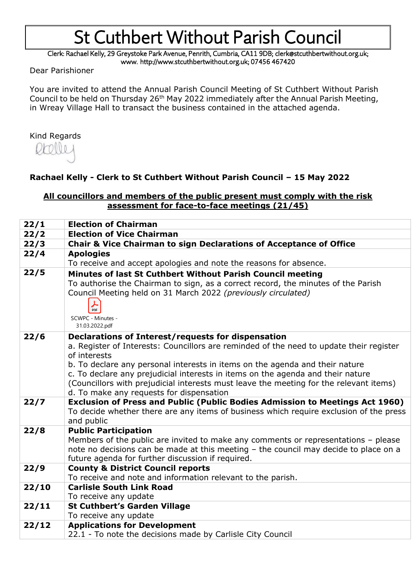Clerk: Rachael Kelly, 29 Greystoke Park Avenue, Penrith, Cumbria, CA11 9DB; clerk@stcuthbertwithout.org.uk; www. http://www.stcuthbertwithout.org.uk; 07456 467420

Dear Parishioner

You are invited to attend the Annual Parish Council Meeting of St Cuthbert Without Parish Council to be held on Thursday 26th May 2022 immediately after the Annual Parish Meeting, in Wreay Village Hall to transact the business contained in the attached agenda.

### Kind Regards



### **Rachael Kelly - Clerk to St Cuthbert Without Parish Council – 15 May 2022**

#### **All councillors and members of the public present must comply with the risk assessment for face-to-face meetings (21/45)**

| 22/1  | <b>Election of Chairman</b>                                                                                                                                                                                                                                                                                                                                                                                                                                            |  |  |  |  |
|-------|------------------------------------------------------------------------------------------------------------------------------------------------------------------------------------------------------------------------------------------------------------------------------------------------------------------------------------------------------------------------------------------------------------------------------------------------------------------------|--|--|--|--|
| 22/2  | <b>Election of Vice Chairman</b>                                                                                                                                                                                                                                                                                                                                                                                                                                       |  |  |  |  |
| 22/3  | <b>Chair &amp; Vice Chairman to sign Declarations of Acceptance of Office</b>                                                                                                                                                                                                                                                                                                                                                                                          |  |  |  |  |
| 22/4  | <b>Apologies</b>                                                                                                                                                                                                                                                                                                                                                                                                                                                       |  |  |  |  |
|       | To receive and accept apologies and note the reasons for absence.                                                                                                                                                                                                                                                                                                                                                                                                      |  |  |  |  |
| 22/5  | Minutes of last St Cuthbert Without Parish Council meeting<br>To authorise the Chairman to sign, as a correct record, the minutes of the Parish<br>Council Meeting held on 31 March 2022 (previously circulated)<br>PDF<br>SCWPC - Minutes -<br>31.03.2022.pdf                                                                                                                                                                                                         |  |  |  |  |
| 22/6  | Declarations of Interest/requests for dispensation<br>a. Register of Interests: Councillors are reminded of the need to update their register<br>of interests<br>b. To declare any personal interests in items on the agenda and their nature<br>c. To declare any prejudicial interests in items on the agenda and their nature<br>(Councillors with prejudicial interests must leave the meeting for the relevant items)<br>d. To make any requests for dispensation |  |  |  |  |
| 22/7  | Exclusion of Press and Public (Public Bodies Admission to Meetings Act 1960)<br>To decide whether there are any items of business which require exclusion of the press<br>and public                                                                                                                                                                                                                                                                                   |  |  |  |  |
| 22/8  | <b>Public Participation</b><br>Members of the public are invited to make any comments or representations $-$ please<br>note no decisions can be made at this meeting - the council may decide to place on a<br>future agenda for further discussion if required.                                                                                                                                                                                                       |  |  |  |  |
| 22/9  | <b>County &amp; District Council reports</b><br>To receive and note and information relevant to the parish.                                                                                                                                                                                                                                                                                                                                                            |  |  |  |  |
| 22/10 | <b>Carlisle South Link Road</b><br>To receive any update                                                                                                                                                                                                                                                                                                                                                                                                               |  |  |  |  |
| 22/11 | <b>St Cuthbert's Garden Village</b><br>To receive any update                                                                                                                                                                                                                                                                                                                                                                                                           |  |  |  |  |
| 22/12 | <b>Applications for Development</b><br>22.1 - To note the decisions made by Carlisle City Council                                                                                                                                                                                                                                                                                                                                                                      |  |  |  |  |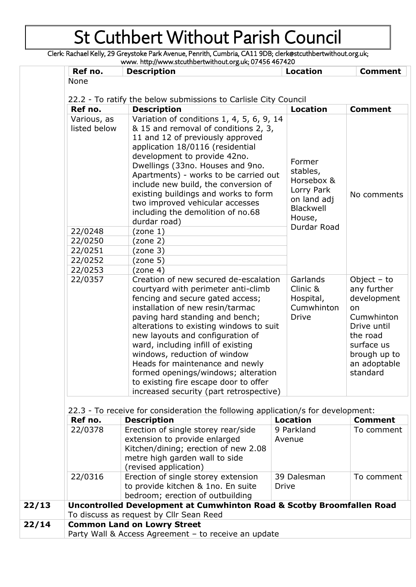Clerk: Rachael Kelly, 29 Greystoke Park Avenue, Penrith, Cumbria, CA11 9DB; clerk@stcuthbertwithout.org.uk; www. http://www.stcuthbertwithout.org.uk; 07456 467420

| Ref no.                                                                          |  | <b>Description</b>                                                               | <b>Location</b>             |                                                               | <b>Comment</b>          |  |  |  |
|----------------------------------------------------------------------------------|--|----------------------------------------------------------------------------------|-----------------------------|---------------------------------------------------------------|-------------------------|--|--|--|
| None                                                                             |  |                                                                                  |                             |                                                               |                         |  |  |  |
|                                                                                  |  | 22.2 - To ratify the below submissions to Carlisle City Council                  |                             |                                                               |                         |  |  |  |
| Ref no.                                                                          |  | <b>Description</b>                                                               |                             | <b>Location</b>                                               | <b>Comment</b>          |  |  |  |
| Various, as                                                                      |  | Variation of conditions 1, 4, 5, 6, 9, 14                                        |                             |                                                               |                         |  |  |  |
| listed below                                                                     |  | & 15 and removal of conditions 2, 3,                                             |                             |                                                               |                         |  |  |  |
|                                                                                  |  | 11 and 12 of previously approved                                                 |                             |                                                               |                         |  |  |  |
|                                                                                  |  | application 18/0116 (residential                                                 |                             | Former<br>stables,<br>Horsebox &<br>Lorry Park<br>on land adj |                         |  |  |  |
|                                                                                  |  | development to provide 42no.                                                     |                             |                                                               |                         |  |  |  |
|                                                                                  |  | Dwellings (33no. Houses and 9no.                                                 |                             |                                                               |                         |  |  |  |
|                                                                                  |  | Apartments) - works to be carried out                                            |                             |                                                               |                         |  |  |  |
|                                                                                  |  | include new build, the conversion of                                             |                             |                                                               |                         |  |  |  |
|                                                                                  |  | existing buildings and works to form                                             |                             |                                                               | No comments             |  |  |  |
|                                                                                  |  | two improved vehicular accesses                                                  |                             | Blackwell                                                     |                         |  |  |  |
|                                                                                  |  | including the demolition of no.68                                                | House,                      |                                                               |                         |  |  |  |
|                                                                                  |  | durdar road)                                                                     |                             | Durdar Road                                                   |                         |  |  |  |
| 22/0248                                                                          |  | (zone 1)                                                                         |                             |                                                               |                         |  |  |  |
| 22/0250                                                                          |  | (zone 2)                                                                         |                             |                                                               |                         |  |  |  |
| 22/0251<br>22/0252                                                               |  | (zone 3)<br>(zone 5)                                                             |                             |                                                               |                         |  |  |  |
| 22/0253                                                                          |  | (zone 4)                                                                         |                             |                                                               |                         |  |  |  |
| 22/0357                                                                          |  | Creation of new secured de-escalation                                            |                             | Garlands                                                      | Object $-$ to           |  |  |  |
|                                                                                  |  | courtyard with perimeter anti-climb                                              |                             | Clinic &                                                      | any further             |  |  |  |
|                                                                                  |  | fencing and secure gated access;                                                 |                             | Hospital,<br>Cumwhinton                                       | development             |  |  |  |
|                                                                                  |  | installation of new resin/tarmac                                                 |                             |                                                               | on                      |  |  |  |
|                                                                                  |  | paving hard standing and bench;                                                  | <b>Drive</b>                |                                                               | Cumwhinton              |  |  |  |
|                                                                                  |  | alterations to existing windows to suit                                          |                             |                                                               | Drive until<br>the road |  |  |  |
|                                                                                  |  | new layouts and configuration of                                                 |                             |                                                               |                         |  |  |  |
|                                                                                  |  | ward, including infill of existing                                               |                             |                                                               | surface us              |  |  |  |
|                                                                                  |  | windows, reduction of window                                                     |                             |                                                               | brough up to            |  |  |  |
|                                                                                  |  | Heads for maintenance and newly                                                  |                             |                                                               | an adoptable            |  |  |  |
|                                                                                  |  | formed openings/windows; alteration                                              |                             |                                                               | standard                |  |  |  |
|                                                                                  |  | to existing fire escape door to offer<br>increased security (part retrospective) |                             |                                                               |                         |  |  |  |
|                                                                                  |  |                                                                                  |                             |                                                               |                         |  |  |  |
| 22.3 - To receive for consideration the following application/s for development: |  |                                                                                  |                             |                                                               |                         |  |  |  |
| Ref no.                                                                          |  | <b>Description</b>                                                               | <b>Location</b>             |                                                               | <b>Comment</b>          |  |  |  |
| 22/0378                                                                          |  | Erection of single storey rear/side                                              | 9 Parkland                  |                                                               | To comment              |  |  |  |
|                                                                                  |  | extension to provide enlarged                                                    | Avenue                      |                                                               |                         |  |  |  |
|                                                                                  |  | Kitchen/dining; erection of new 2.08                                             |                             |                                                               |                         |  |  |  |
|                                                                                  |  | metre high garden wall to side                                                   |                             |                                                               |                         |  |  |  |
| 22/0316                                                                          |  | (revised application)<br>Erection of single storey extension                     |                             |                                                               | To comment              |  |  |  |
|                                                                                  |  | to provide kitchen & 1no. En suite                                               | 39 Dalesman<br><b>Drive</b> |                                                               |                         |  |  |  |
|                                                                                  |  | bedroom; erection of outbuilding                                                 |                             |                                                               |                         |  |  |  |
|                                                                                  |  | Uncontrolled Development at Cumwhinton Road & Scotby Broomfallen Road            |                             |                                                               |                         |  |  |  |
|                                                                                  |  | To discuss as request by Cllr Sean Reed                                          |                             |                                                               |                         |  |  |  |
|                                                                                  |  | <b>Common Land on Lowry Street</b>                                               |                             |                                                               |                         |  |  |  |
|                                                                                  |  | Party Wall & Access Agreement - to receive an update                             |                             |                                                               |                         |  |  |  |

**22/14**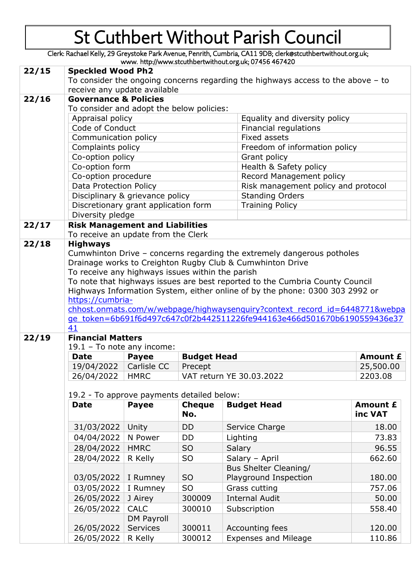Clerk: Rachael Kelly, 29 Greystoke Park Avenue, Penrith, Cumbria, CA11 9DB; clerk@stcuthbertwithout.org.uk; www. http://www.stcuthbertwithout.org.uk; 07456 467420

|       |                                                                                                                |                            |                    | www.nupypwww.sucunibertwithout.org.uk, 07-150-107-120                        |                                     |  |  |  |  |
|-------|----------------------------------------------------------------------------------------------------------------|----------------------------|--------------------|------------------------------------------------------------------------------|-------------------------------------|--|--|--|--|
| 22/15 | <b>Speckled Wood Ph2</b><br>To consider the ongoing concerns regarding the highways access to the above $-$ to |                            |                    |                                                                              |                                     |  |  |  |  |
|       |                                                                                                                |                            |                    |                                                                              |                                     |  |  |  |  |
|       | receive any update available                                                                                   |                            |                    |                                                                              |                                     |  |  |  |  |
| 22/16 | <b>Governance &amp; Policies</b>                                                                               |                            |                    |                                                                              |                                     |  |  |  |  |
|       | To consider and adopt the below policies:                                                                      |                            |                    |                                                                              |                                     |  |  |  |  |
|       | Appraisal policy                                                                                               |                            |                    |                                                                              | Equality and diversity policy       |  |  |  |  |
|       | Code of Conduct                                                                                                |                            |                    |                                                                              | Financial regulations               |  |  |  |  |
|       | Communication policy                                                                                           |                            |                    |                                                                              | Fixed assets                        |  |  |  |  |
|       | Complaints policy                                                                                              |                            |                    |                                                                              | Freedom of information policy       |  |  |  |  |
|       | Co-option policy                                                                                               |                            |                    |                                                                              | Grant policy                        |  |  |  |  |
|       | Co-option form                                                                                                 |                            |                    |                                                                              | Health & Safety policy              |  |  |  |  |
|       | Co-option procedure                                                                                            |                            |                    |                                                                              | Record Management policy            |  |  |  |  |
|       | Data Protection Policy                                                                                         |                            |                    |                                                                              | Risk management policy and protocol |  |  |  |  |
|       | Disciplinary & grievance policy                                                                                |                            |                    |                                                                              | <b>Standing Orders</b>              |  |  |  |  |
|       | Discretionary grant application form                                                                           |                            |                    | <b>Training Policy</b>                                                       |                                     |  |  |  |  |
|       | Diversity pledge                                                                                               |                            |                    |                                                                              |                                     |  |  |  |  |
| 22/17 | <b>Risk Management and Liabilities</b>                                                                         |                            |                    |                                                                              |                                     |  |  |  |  |
|       | To receive an update from the Clerk                                                                            |                            |                    |                                                                              |                                     |  |  |  |  |
| 22/18 | <b>Highways</b>                                                                                                |                            |                    |                                                                              |                                     |  |  |  |  |
|       |                                                                                                                |                            |                    | Cumwhinton Drive - concerns regarding the extremely dangerous potholes       |                                     |  |  |  |  |
|       |                                                                                                                |                            |                    | Drainage works to Creighton Rugby Club & Cumwhinton Drive                    |                                     |  |  |  |  |
|       | To receive any highways issues within the parish                                                               |                            |                    |                                                                              |                                     |  |  |  |  |
|       |                                                                                                                |                            |                    | To note that highways issues are best reported to the Cumbria County Council |                                     |  |  |  |  |
|       |                                                                                                                |                            |                    | Highways Information System, either online of by the phone: 0300 303 2992 or |                                     |  |  |  |  |
|       | https://cumbria-                                                                                               |                            |                    |                                                                              |                                     |  |  |  |  |
|       |                                                                                                                |                            |                    | chhost.onmats.com/w/webpage/highwaysenguiry?context record id=6448771&webpa  |                                     |  |  |  |  |
|       | ge token=6b691f6d497c647c0f2b442511226fe944163e466d501670b6190559436e37                                        |                            |                    |                                                                              |                                     |  |  |  |  |
|       | 41                                                                                                             |                            |                    |                                                                              |                                     |  |  |  |  |
| 22/19 | <b>Financial Matters</b>                                                                                       |                            |                    |                                                                              |                                     |  |  |  |  |
|       | 19.1 - To note any income:                                                                                     |                            |                    |                                                                              |                                     |  |  |  |  |
|       | <b>Date</b>                                                                                                    | <b>Payee</b>               | <b>Budget Head</b> |                                                                              | Amount £                            |  |  |  |  |
|       | 19/04/2022                                                                                                     | Carlisle CC                | Precept            |                                                                              | 25,500.00                           |  |  |  |  |
|       | 26/04/2022                                                                                                     | HMRC                       |                    | VAT return YE 30.03.2022                                                     | 2203.08                             |  |  |  |  |
|       |                                                                                                                |                            |                    |                                                                              |                                     |  |  |  |  |
|       | 19.2 - To approve payments detailed below:                                                                     |                            |                    |                                                                              |                                     |  |  |  |  |
|       | <b>Date</b>                                                                                                    | <b>Payee</b>               | <b>Cheque</b>      | <b>Budget Head</b>                                                           | Amount £                            |  |  |  |  |
|       |                                                                                                                |                            | No.                |                                                                              | inc VAT                             |  |  |  |  |
|       | 31/03/2022                                                                                                     | Unity                      | <b>DD</b>          | Service Charge                                                               | 18.00                               |  |  |  |  |
|       | 04/04/2022                                                                                                     | N Power                    | DD                 | Lighting                                                                     | 73.83                               |  |  |  |  |
|       | 28/04/2022                                                                                                     | <b>HMRC</b>                | <b>SO</b>          | Salary                                                                       |                                     |  |  |  |  |
|       |                                                                                                                |                            |                    |                                                                              |                                     |  |  |  |  |
|       |                                                                                                                |                            |                    |                                                                              | 96.55                               |  |  |  |  |
|       | 28/04/2022                                                                                                     | R Kelly                    | SO                 | Salary - April                                                               | 662.60                              |  |  |  |  |
|       |                                                                                                                |                            |                    | Bus Shelter Cleaning/                                                        |                                     |  |  |  |  |
|       | 03/05/2022                                                                                                     | I Rumney                   | <b>SO</b>          | Playground Inspection                                                        | 180.00                              |  |  |  |  |
|       | 03/05/2022                                                                                                     | I Rumney                   | <b>SO</b>          | Grass cutting                                                                | 757.06                              |  |  |  |  |
|       | 26/05/2022                                                                                                     | J Airey                    | 300009             | <b>Internal Audit</b>                                                        | 50.00                               |  |  |  |  |
|       | 26/05/2022                                                                                                     | <b>CALC</b>                | 300010             | Subscription                                                                 | 558.40                              |  |  |  |  |
|       |                                                                                                                | <b>DM Payroll</b>          |                    |                                                                              |                                     |  |  |  |  |
|       | 26/05/2022<br>26/05/2022                                                                                       | <b>Services</b><br>R Kelly | 300011<br>300012   | Accounting fees<br><b>Expenses and Mileage</b>                               | 120.00                              |  |  |  |  |